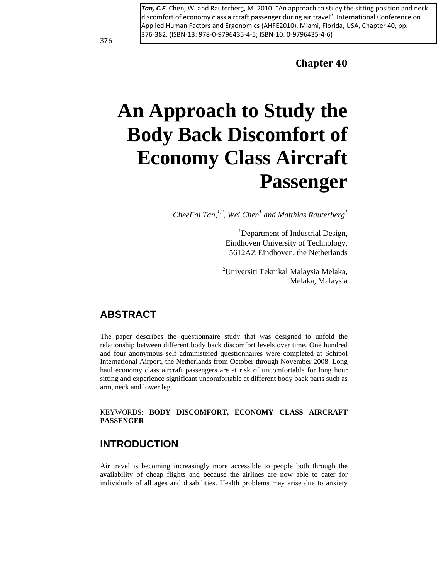*Tan, C.F.* Chen, W. and Rauterberg, M. 2010. "An approach to study the sitting position and neck discomfort of economy class aircraft passenger during air travel". International Conference on Applied Human Factors and Ergonomics (AHFE2010), Miami, Florida, USA, Chapter 40, pp. 376-382. (ISBN-13: 978-0-9796435-4-5; ISBN-10: 0-9796435-4-6)

## **Chapter 40**

# **An Approach to Study the Body Back Discomfort of Economy Class Aircraft Passenger**

*CheeFai Tan,*<sup>1,2</sup>, Wei Chen<sup>1</sup> and Matthias Rauterberg<sup>1</sup>

<sup>1</sup>Department of Industrial Design, Eindhoven University of Technology, 5612AZ Eindhoven, the Netherlands

<sup>2</sup>Universiti Teknikal Malaysia Melaka, Melaka, Malaysia

# **ABSTRACT**

The paper describes the questionnaire study that was designed to unfold the relationship between different body back discomfort levels over time. One hundred and four anonymous self administered questionnaires were completed at Schipol International Airport, the Netherlands from October through November 2008. Long haul economy class aircraft passengers are at risk of uncomfortable for long hour sitting and experience significant uncomfortable at different body back parts such as arm, neck and lower leg.

#### KEYWORDS: **BODY DISCOMFORT, ECONOMY CLASS AIRCRAFT PASSENGER**

## **INTRODUCTION**

Air travel is becoming increasingly more accessible to people both through the availability of cheap flights and because the airlines are now able to cater for individuals of all ages and disabilities. Health problems may arise due to anxiety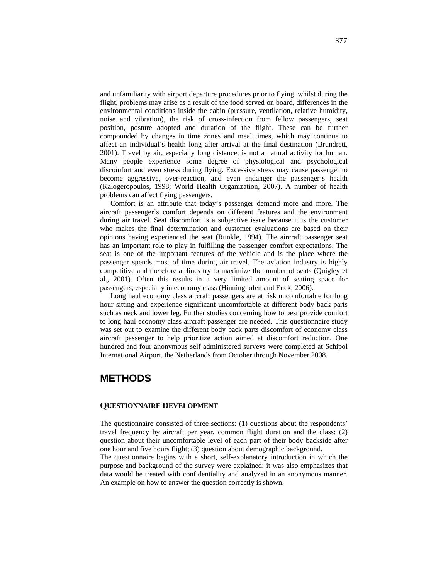and unfamiliarity with airport departure procedures prior to flying, whilst during the flight, problems may arise as a result of the food served on board, differences in the environmental conditions inside the cabin (pressure, ventilation, relative humidity, noise and vibration), the risk of cross-infection from fellow passengers, seat position, posture adopted and duration of the flight. These can be further compounded by changes in time zones and meal times, which may continue to affect an individual's health long after arrival at the final destination (Brundrett, 2001). Travel by air, especially long distance, is not a natural activity for human. Many people experience some degree of physiological and psychological discomfort and even stress during flying. Excessive stress may cause passenger to become aggressive, over-reaction, and even endanger the passenger's health (Kalogeropoulos, 1998; World Health Organization, 2007). A number of health problems can affect flying passengers.

Comfort is an attribute that today's passenger demand more and more. The aircraft passenger's comfort depends on different features and the environment during air travel. Seat discomfort is a subjective issue because it is the customer who makes the final determination and customer evaluations are based on their opinions having experienced the seat (Runkle, 1994). The aircraft passenger seat has an important role to play in fulfilling the passenger comfort expectations. The seat is one of the important features of the vehicle and is the place where the passenger spends most of time during air travel. The aviation industry is highly competitive and therefore airlines try to maximize the number of seats (Quigley et al., 2001). Often this results in a very limited amount of seating space for passengers, especially in economy class (Hinninghofen and Enck, 2006).

Long haul economy class aircraft passengers are at risk uncomfortable for long hour sitting and experience significant uncomfortable at different body back parts such as neck and lower leg. Further studies concerning how to best provide comfort to long haul economy class aircraft passenger are needed. This questionnaire study was set out to examine the different body back parts discomfort of economy class aircraft passenger to help prioritize action aimed at discomfort reduction. One hundred and four anonymous self administered surveys were completed at Schipol International Airport, the Netherlands from October through November 2008.

### **METHODS**

#### **QUESTIONNAIRE DEVELOPMENT**

The questionnaire consisted of three sections: (1) questions about the respondents' travel frequency by aircraft per year, common flight duration and the class; (2) question about their uncomfortable level of each part of their body backside after one hour and five hours flight; (3) question about demographic background. The questionnaire begins with a short, self-explanatory introduction in which the purpose and background of the survey were explained; it was also emphasizes that

data would be treated with confidentiality and analyzed in an anonymous manner. An example on how to answer the question correctly is shown.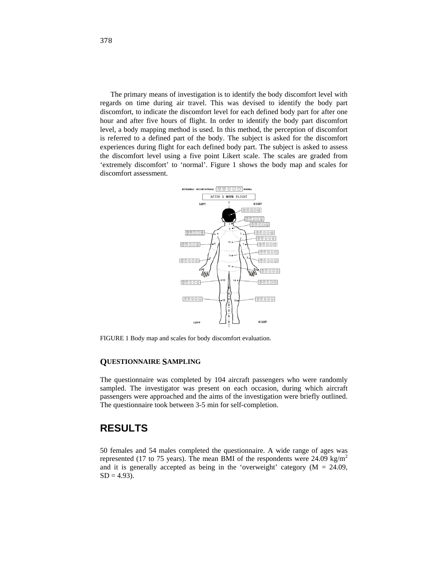The primary means of investigation is to identify the body discomfort level with regards on time during air travel. This was devised to identify the body part discomfort, to indicate the discomfort level for each defined body part for after one hour and after five hours of flight. In order to identify the body part discomfort level, a body mapping method is used. In this method, the perception of discomfort is referred to a defined part of the body. The subject is asked for the discomfort experiences during flight for each defined body part. The subject is asked to assess the discomfort level using a five point Likert scale. The scales are graded from 'extremely discomfort' to 'normal'. Figure 1 shows the body map and scales for discomfort assessment.



FIGURE 1 Body map and scales for body discomfort evaluation.

#### **QUESTIONNAIRE SAMPLING**

The questionnaire was completed by 104 aircraft passengers who were randomly sampled. The investigator was present on each occasion, during which aircraft passengers were approached and the aims of the investigation were briefly outlined. The questionnaire took between 3-5 min for self-completion.

## **RESULTS**

50 females and 54 males completed the questionnaire. A wide range of ages was represented (17 to 75 years). The mean BMI of the respondents were 24.09 kg/m<sup>2</sup> and it is generally accepted as being in the 'overweight' category  $(M = 24.09,$  $SD = 4.93$ ).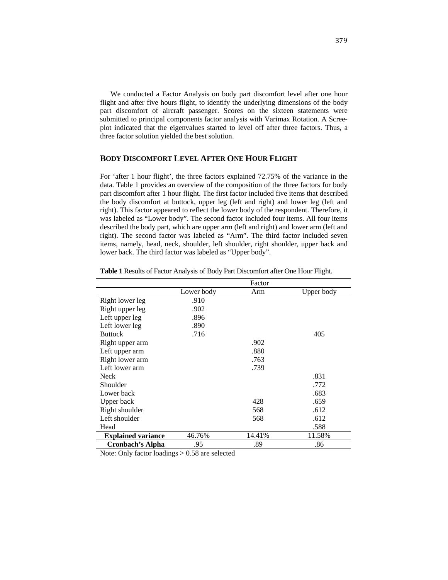We conducted a Factor Analysis on body part discomfort level after one hour flight and after five hours flight, to identify the underlying dimensions of the body part discomfort of aircraft passenger. Scores on the sixteen statements were submitted to principal components factor analysis with Varimax Rotation. A Screeplot indicated that the eigenvalues started to level off after three factors. Thus, a three factor solution yielded the best solution.

#### **BODY DISCOMFORT LEVEL AFTER ONE HOUR FLIGHT**

For 'after 1 hour flight', the three factors explained 72.75% of the variance in the data. Table 1 provides an overview of the composition of the three factors for body part discomfort after 1 hour flight. The first factor included five items that described the body discomfort at buttock, upper leg (left and right) and lower leg (left and right). This factor appeared to reflect the lower body of the respondent. Therefore, it was labeled as "Lower body". The second factor included four items. All four items described the body part, which are upper arm (left and right) and lower arm (left and right). The second factor was labeled as "Arm". The third factor included seven items, namely, head, neck, shoulder, left shoulder, right shoulder, upper back and lower back. The third factor was labeled as "Upper body".

|                           |            | Factor |            |
|---------------------------|------------|--------|------------|
|                           | Lower body | Arm    | Upper body |
| Right lower leg           | .910       |        |            |
| Right upper leg           | .902       |        |            |
| Left upper leg            | .896       |        |            |
| Left lower leg            | .890       |        |            |
| <b>Buttock</b>            | .716       |        | 405        |
| Right upper arm           |            | .902   |            |
| Left upper arm            |            | .880   |            |
| Right lower arm           |            | .763   |            |
| Left lower arm            |            | .739   |            |
| Neck                      |            |        | .831       |
| Shoulder                  |            |        | .772       |
| Lower back                |            |        | .683       |
| Upper back                |            | 428    | .659       |
| Right shoulder            |            | 568    | .612       |
| Left shoulder             |            | 568    | .612       |
| Head                      |            |        | .588       |
| <b>Explained variance</b> | 46.76%     | 14.41% | 11.58%     |
| Cronbach's Alpha          | .95        | .89    | .86        |

**Table 1** Results of Factor Analysis of Body Part Discomfort after One Hour Flight.

Note: Only factor loadings > 0.58 are selected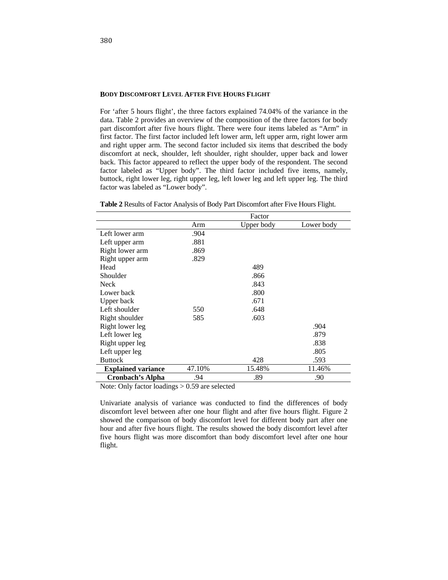#### **BODY DISCOMFORT LEVEL AFTER FIVE HOURS FLIGHT**

For 'after 5 hours flight', the three factors explained 74.04% of the variance in the data. Table 2 provides an overview of the composition of the three factors for body part discomfort after five hours flight. There were four items labeled as "Arm" in first factor. The first factor included left lower arm, left upper arm, right lower arm and right upper arm. The second factor included six items that described the body discomfort at neck, shoulder, left shoulder, right shoulder, upper back and lower back. This factor appeared to reflect the upper body of the respondent. The second factor labeled as "Upper body". The third factor included five items, namely, buttock, right lower leg, right upper leg, left lower leg and left upper leg. The third factor was labeled as "Lower body".

|                           |        | Factor     |            |
|---------------------------|--------|------------|------------|
|                           | Arm    | Upper body | Lower body |
| Left lower arm            | .904   |            |            |
| Left upper arm            | .881   |            |            |
| Right lower arm           | .869   |            |            |
| Right upper arm           | .829   |            |            |
| Head                      |        | 489        |            |
| Shoulder                  |        | .866       |            |
| <b>Neck</b>               |        | .843       |            |
| Lower back                |        | .800       |            |
| Upper back                |        | .671       |            |
| Left shoulder             | 550    | .648       |            |
| Right shoulder            | 585    | .603       |            |
| Right lower leg           |        |            | .904       |
| Left lower leg            |        |            | .879       |
| Right upper leg           |        |            | .838       |
| Left upper leg            |        |            | .805       |
| <b>Buttock</b>            |        | 428        | .593       |
| <b>Explained variance</b> | 47.10% | 15.48%     | 11.46%     |
| Cronbach's Alpha          | .94    | .89        | .90        |

**Table 2** Results of Factor Analysis of Body Part Discomfort after Five Hours Flight.

Note: Only factor loadings > 0.59 are selected

Univariate analysis of variance was conducted to find the differences of body discomfort level between after one hour flight and after five hours flight. Figure 2 showed the comparison of body discomfort level for different body part after one hour and after five hours flight. The results showed the body discomfort level after five hours flight was more discomfort than body discomfort level after one hour flight.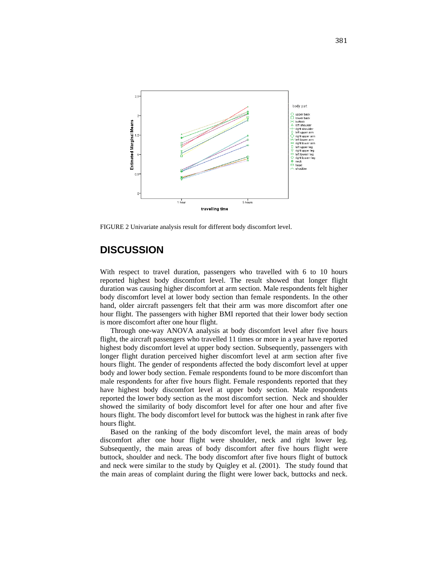

FIGURE 2 Univariate analysis result for different body discomfort level.

## **DISCUSSION**

With respect to travel duration, passengers who travelled with 6 to 10 hours reported highest body discomfort level. The result showed that longer flight duration was causing higher discomfort at arm section. Male respondents felt higher body discomfort level at lower body section than female respondents. In the other hand, older aircraft passengers felt that their arm was more discomfort after one hour flight. The passengers with higher BMI reported that their lower body section is more discomfort after one hour flight.

Through one-way ANOVA analysis at body discomfort level after five hours flight, the aircraft passengers who travelled 11 times or more in a year have reported highest body discomfort level at upper body section. Subsequently, passengers with longer flight duration perceived higher discomfort level at arm section after five hours flight. The gender of respondents affected the body discomfort level at upper body and lower body section. Female respondents found to be more discomfort than male respondents for after five hours flight. Female respondents reported that they have highest body discomfort level at upper body section. Male respondents reported the lower body section as the most discomfort section. Neck and shoulder showed the similarity of body discomfort level for after one hour and after five hours flight. The body discomfort level for buttock was the highest in rank after five hours flight.

Based on the ranking of the body discomfort level, the main areas of body discomfort after one hour flight were shoulder, neck and right lower leg. Subsequently, the main areas of body discomfort after five hours flight were buttock, shoulder and neck. The body discomfort after five hours flight of buttock and neck were similar to the study by Quigley et al. (2001). The study found that the main areas of complaint during the flight were lower back, buttocks and neck.